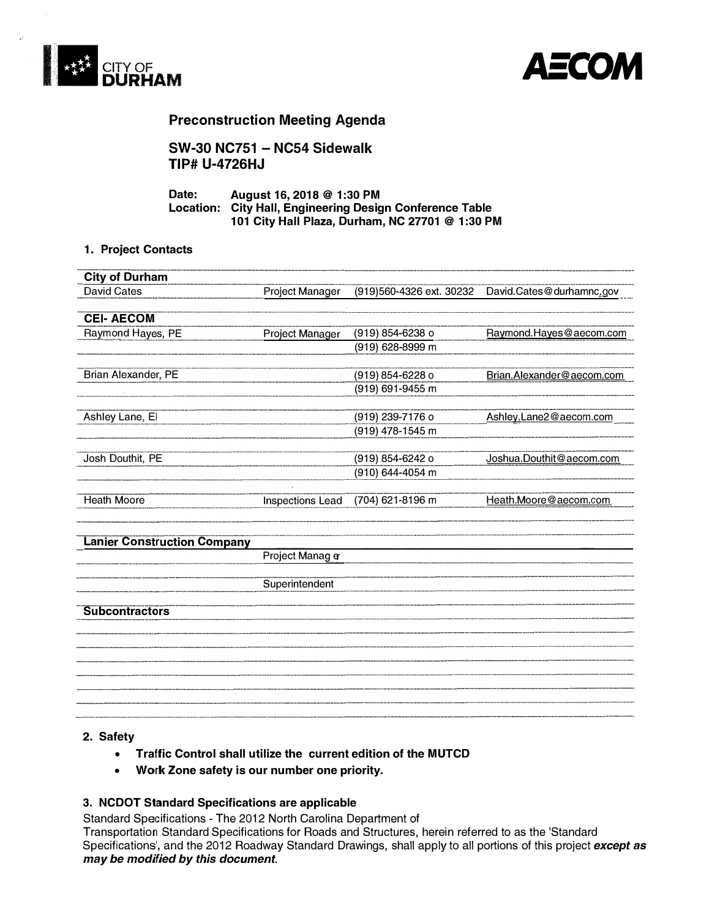



# **Preconstruction Meeting Agenda**

**SW-30 NC751 - NC54 Sidewalk TIP# U-4726HJ** 

**Date: August 16, 2018 @ 1 :30 PM Location: City Hall, Engineering Design Conference Table 101 City Hall Plaza, Durham, NC 27701 @ 1 :30 PM** 

#### **1. Project Contacts**

| <b>City of Durham</b>              |                  |                          |                           |
|------------------------------------|------------------|--------------------------|---------------------------|
| <b>David Cates</b>                 | Project Manager  | (919)560-4326 ext. 30232 | David.Cates@durhamnc.gov  |
| <b>CEI-AECOM</b>                   |                  |                          |                           |
|                                    |                  |                          |                           |
| Raymond Hayes, PE                  | Project Manager  | (919) 854-6238 o         | Raymond. Hayes@aecom.com  |
|                                    |                  | (919) 628-8999 m         |                           |
| Brian Alexander, PE                |                  | (919) 854-6228 o         | Brian.Alexander@aecom.com |
|                                    |                  | (919) 691-9455 m         |                           |
|                                    |                  |                          |                           |
| Ashley Lane, El                    |                  | (919) 239-7176 o         | Ashley.Lane2@aecom.com    |
|                                    |                  | (919) 478-1545 m         |                           |
| Josh Douthit, PE                   |                  | (919) 854-6242 o         | Joshua.Douthit@aecom.com  |
|                                    |                  | (910) 644-4054 m         |                           |
| <b>Heath Moore</b>                 | Inspections Lead | (704) 621-8196 m         | Heath.Moore@aecom.com     |
| <b>Lanier Construction Company</b> |                  |                          |                           |
|                                    | Project Manag e  |                          |                           |
|                                    | Superintendent   |                          |                           |
| <b>Subcontractors</b>              |                  |                          |                           |
|                                    |                  |                          |                           |
|                                    |                  |                          |                           |
|                                    |                  |                          |                           |
|                                    |                  |                          |                           |
|                                    |                  |                          |                           |
|                                    |                  |                          |                           |

# **2. Safety**

- **• Traffic Control shall utilize the current edition of the MUTCD**
- **• Work Zone safety is our number one priority.**

### **3. NCDOT Standard Specifications are applicable**

Standard Specifications - The 2012 North Carolina Department of Transportation Standard Specifications for Roads and Structures, herein referred to as the 'Standard Specifications', and the 2012 Roadway Standard Drawings, shall apply to all portions of this project *except as may be modified by this document.*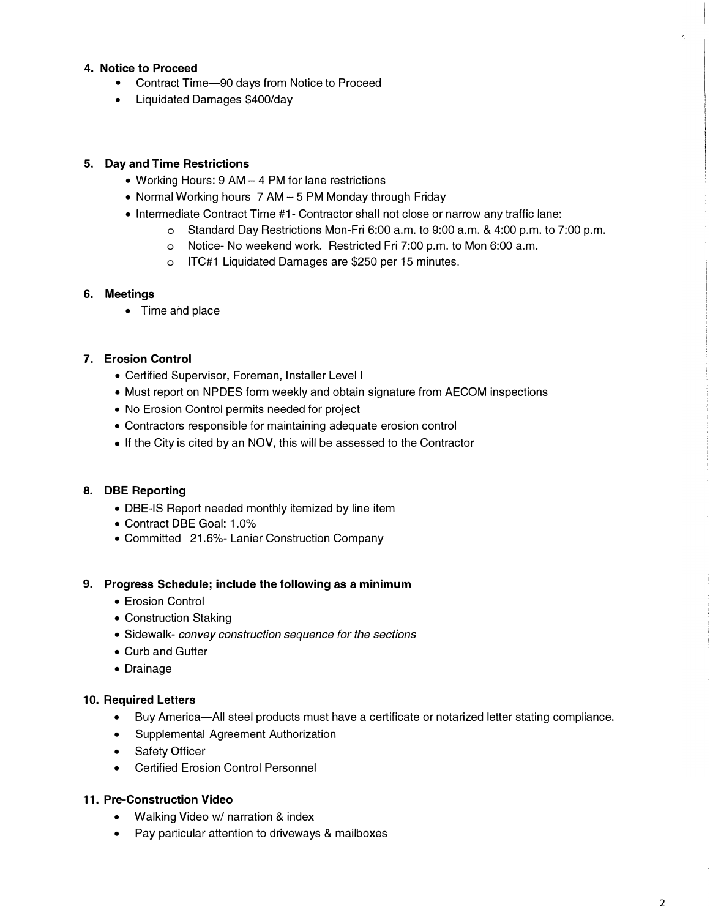# **4. Notice to Proceed**

- Contract Time-90 days from Notice to Proceed
- Liquidated Damages \$400/day

# **5. Day and Time Restrictions**

- Working Hours: 9 AM 4 PM for lane restrictions
- Normal Working hours 7 AM 5 PM Monday through Friday
- Intermediate Contract Time #1- Contractor shall not close or narrow any traffic lane:
	- o Standard Day Restrictions Mon-Fri 6:00 a.m. to 9:00 a.m. & 4:00 p.m. to 7:00 p.m.
	- o Notice- No weekend work. Restricted Fri 7:00 p.m. to Mon 6:00 a.m.
	- o ITC#1 Liquidated Damages are \$250 per 15 minutes.

# **6. Meetings**

• Time and place

# **7. Erosion Control**

- Certified Supervisor, Foreman, Installer Level I
- Must report on NPDES form weekly and obtain signature from AECOM inspections
- No Erosion Control permits needed for project
- Contractors responsible for maintaining adequate erosion control
- If the City is cited by an NOV, this will be assessed to the Contractor

# **8. DBE Reporting**

- DBE-IS Report needed monthly itemized by line item
- Contract DBE Goal: 1.0%
- Committed 21.6%- Lanier Construction Company

# **9. Progress Schedule; include the following as a minimum**

- Erosion Control
- Construction Staking
- Sidewalk- *convey construction sequence for the sections*
- Curb and Gutter
- Drainage

# **10. Required Letters**

- Buy America-All steel products must have a certificate or notarized letter stating compliance.
- Supplemental Agreement Authorization
- Safety Officer
- Certified Erosion Control Personnel

# **11. Pre-Construction Video**

- Walking Video w/ narration & index
- Pay particular attention to driveways & mailboxes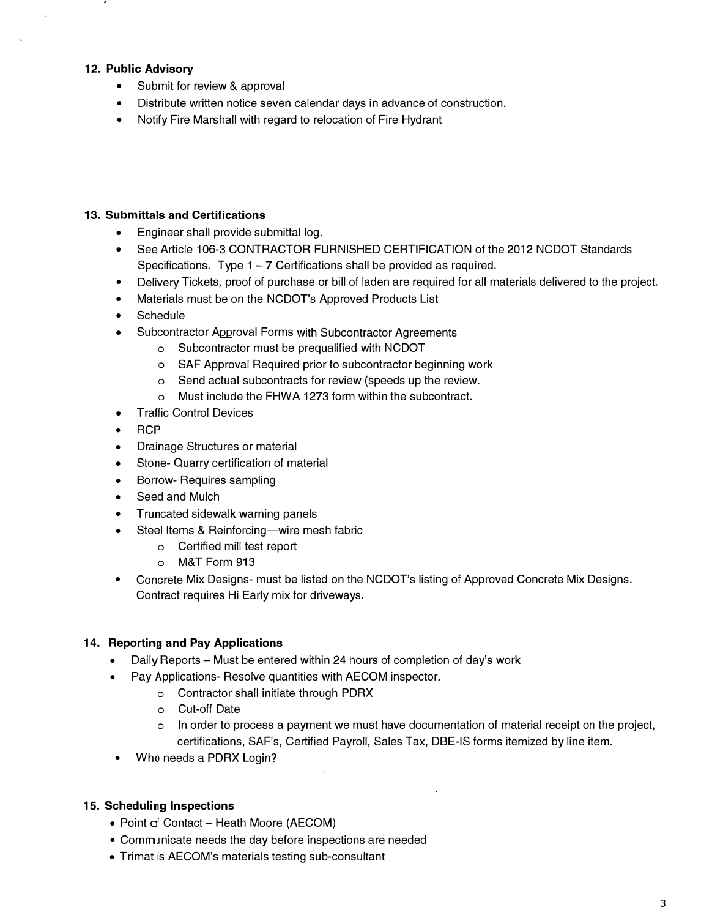### **12. Public Advisory**

- Submit for review & approval
- Distribute written notice seven calendar days in advance of construction.
- Notify Fire Marshall with regard to relocation of Fire Hydrant

#### **13. Submittals and Certifications**

- Engineer shall provide submittal log.
- See Article 106-3 CONTRACTOR FURNISHED CERTIFICATION of the 2012 NCDOT Standards Specifications. Type  $1 - 7$  Certifications shall be provided as required.
- Delivery Tickets, proof of purchase or bill of laden are required for all materials delivered to the project.
- Materials must be on the NCDOT's Approved Products List
- **Schedule**
- Subcontractor Approval Forms with Subcontractor Agreements
	- o Subcontractor must be prequalified with NCDOT
	- o SAF Approval Required prior to subcontractor beginning work
	- o Send actual subcontracts for review (speeds up the review.
	- o Must include the FHWA 1273 form within the subcontract.
- Traffic Control Devices
- **• RCP**
- Drainage Structures or material
- Stone- Quarry certification of material
- Borrow- Requires sampling
- Seed and Mulch
- Truncated sidewalk warning panels
- Steel Items & Reinforcing-wire mesh fabric
	- o Certified mill test report
	- o M&T Form 913
- Concrete Mix Designs- must be listed on the NCDOT's listing of Approved Concrete Mix Designs. Contract requires Hi Early mix for driveways.

#### **14. Reporting and Pay Applications**

Daily Reports - Must be entered within 24 hours of completion of day's work

 $\mathcal{L}_{\mathcal{L}}$ 

- Pay Applications- Resolve quantities with AECOM inspector.
	- o Contractor shall initiate through PDRX
	- o Cut-off Date
	- o In order to process a payment we must have documentation of material receipt on the project, certifications, SAF's, Certified Payroll, Sales Tax, DBE-IS forms itemized by line item.
- Who needs a PDRX Login?

# **15. Scheduling Inspections**

- Point of Contact Heath Moore (AECOM)
- Communicate needs the day before inspections are needed
- Trimat is AECOM's materials testing sub-consultant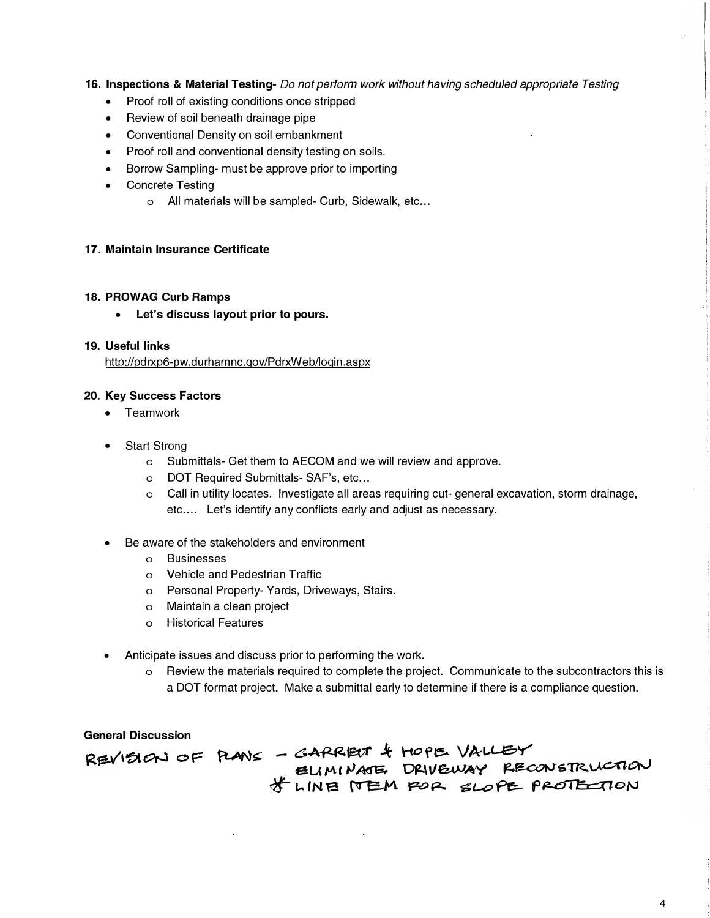# **16. Inspections & Material Testing-** *Do not perform work without having scheduled appropriate Testing*

- Proof roll of existing conditions once stripped
- Review of soil beneath drainage pipe
- Conventional Density on soil embankment
- Proof roll and conventional density testing on soils.
- Borrow Sampling- must be approve prior to importing
- Concrete Testing
	- o All materials will be sampled- Curb, Sidewalk, etc...

#### **17. Maintain Insurance Certificate**

#### **18. PROWAG Curb Ramps**

**• Let's discuss layout prior to pours.**

#### **19. Useful links**

http://pdrxp6-pw.durhamnc.gov/PdrxWeb/login.aspx

#### **20. Key Success Factors**

- Teamwork
- Start Strong
	- o Submittals- Get them to AECOM and we will review and approve.
	- o DOT Required Submittals- SAF's, etc...
	- o Call in utility locates. Investigate all areas requiring cut- general excavation, storm drainage, etc.... Let's identify any conflicts early and adjust as necessary.
- Be aware of the stakeholders and environment
	- o Businesses
	- o Vehicle and Pedestrian Traffic
	- o Personal Property- Yards, Driveways, Stairs.
	- o Maintain a clean project
	- o Historical Features
- Anticipate issues and discuss prior to performing the work.
	- o Review the materials required to complete the project. Communicate to the subcontractors this is a DOT format project. Make a submittal early to determine if there is a compliance question.

**General Discussion** 

REVISION OF PLANS - GARRENT & HOPE VALLEY EUMINATE, DRIVEWAY RECONSTRUCTION  $*$  whene *Pope slope protention*